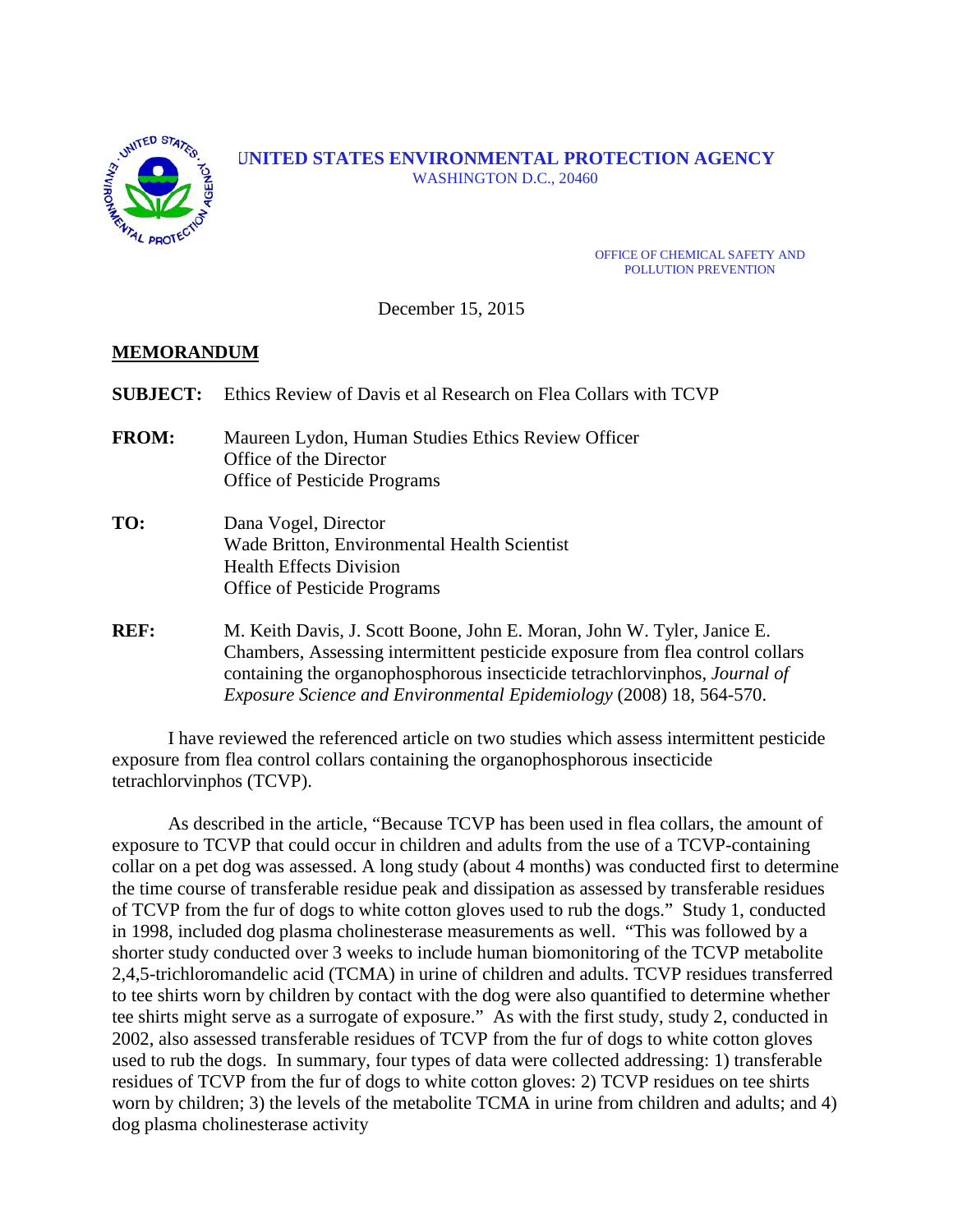

#### **UNITED STATES ENVIRONMENTAL PROTECTION AGENCY** WASHINGTON D.C., 20460

OFFICE OF CHEMICAL SAFETY AND POLLUTION PREVENTION

December 15, 2015

## **MEMORANDUM**

| <b>SUBJECT:</b> | Ethics Review of Davis et al Research on Flea Collars with TCVP                                                                                                                                                                                                                                                      |  |  |
|-----------------|----------------------------------------------------------------------------------------------------------------------------------------------------------------------------------------------------------------------------------------------------------------------------------------------------------------------|--|--|
| <b>FROM:</b>    | Maureen Lydon, Human Studies Ethics Review Officer<br>Office of the Director<br><b>Office of Pesticide Programs</b>                                                                                                                                                                                                  |  |  |
| TO:             | Dana Vogel, Director<br>Wade Britton, Environmental Health Scientist<br><b>Health Effects Division</b><br><b>Office of Pesticide Programs</b>                                                                                                                                                                        |  |  |
| REF:            | M. Keith Davis, J. Scott Boone, John E. Moran, John W. Tyler, Janice E.<br>Chambers, Assessing intermittent pesticide exposure from flea control collars<br>containing the organophosphorous insecticide tetrachloryinphos, <i>Journal of</i><br>Exposure Science and Environmental Epidemiology (2008) 18, 564-570. |  |  |

I have reviewed the referenced article on two studies which assess intermittent pesticide exposure from flea control collars containing the organophosphorous insecticide tetrachlorvinphos (TCVP).

As described in the article, "Because TCVP has been used in flea collars, the amount of exposure to TCVP that could occur in children and adults from the use of a TCVP-containing collar on a pet dog was assessed. A long study (about 4 months) was conducted first to determine the time course of transferable residue peak and dissipation as assessed by transferable residues of TCVP from the fur of dogs to white cotton gloves used to rub the dogs." Study 1, conducted in 1998, included dog plasma cholinesterase measurements as well. "This was followed by a shorter study conducted over 3 weeks to include human biomonitoring of the TCVP metabolite 2,4,5-trichloromandelic acid (TCMA) in urine of children and adults. TCVP residues transferred to tee shirts worn by children by contact with the dog were also quantified to determine whether tee shirts might serve as a surrogate of exposure." As with the first study, study 2, conducted in 2002, also assessed transferable residues of TCVP from the fur of dogs to white cotton gloves used to rub the dogs. In summary, four types of data were collected addressing: 1) transferable residues of TCVP from the fur of dogs to white cotton gloves: 2) TCVP residues on tee shirts worn by children; 3) the levels of the metabolite TCMA in urine from children and adults; and 4) dog plasma cholinesterase activity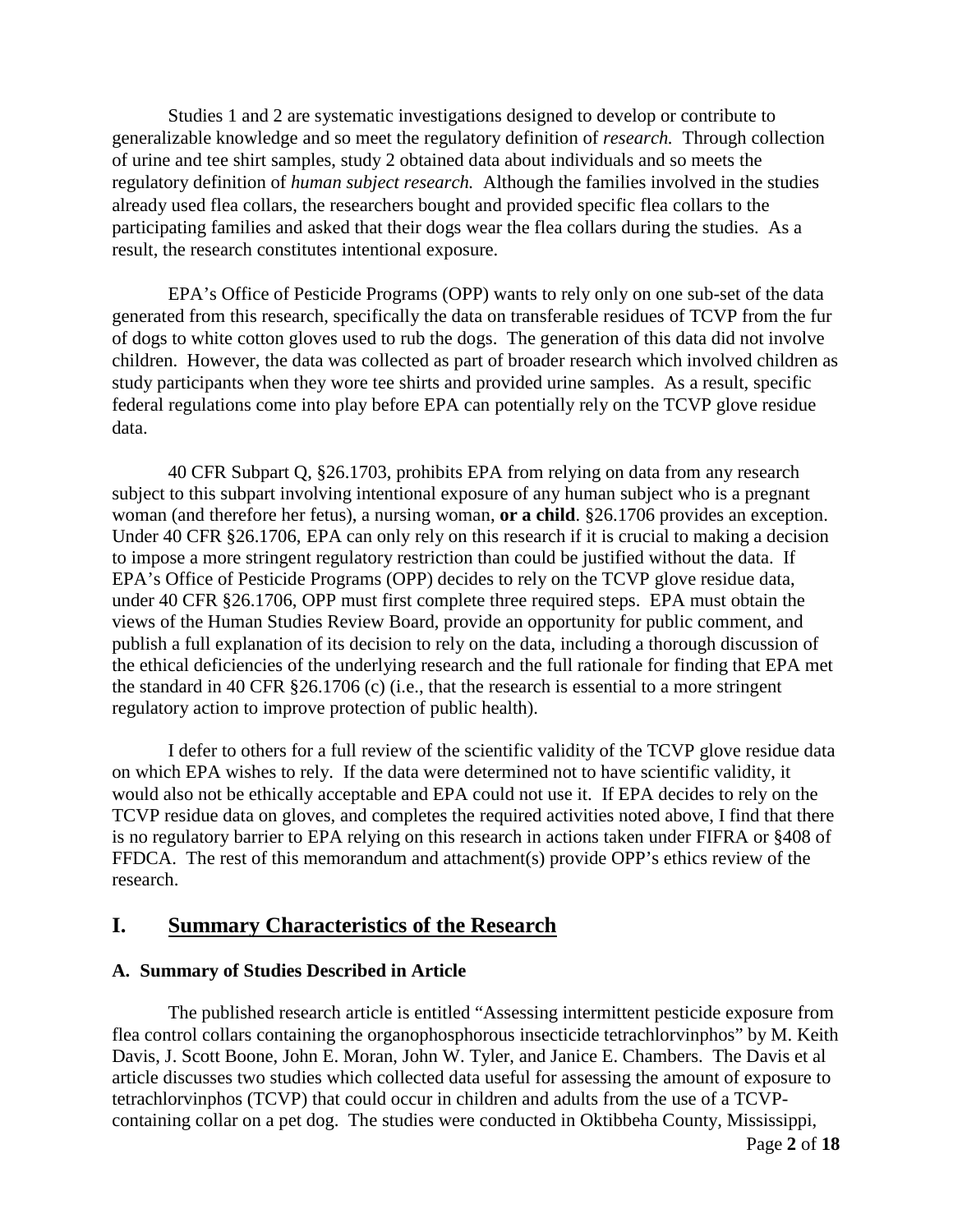Studies 1 and 2 are systematic investigations designed to develop or contribute to generalizable knowledge and so meet the regulatory definition of *research.* Through collection of urine and tee shirt samples, study 2 obtained data about individuals and so meets the regulatory definition of *human subject research.* Although the families involved in the studies already used flea collars, the researchers bought and provided specific flea collars to the participating families and asked that their dogs wear the flea collars during the studies. As a result, the research constitutes intentional exposure.

EPA's Office of Pesticide Programs (OPP) wants to rely only on one sub-set of the data generated from this research, specifically the data on transferable residues of TCVP from the fur of dogs to white cotton gloves used to rub the dogs. The generation of this data did not involve children. However, the data was collected as part of broader research which involved children as study participants when they wore tee shirts and provided urine samples. As a result, specific federal regulations come into play before EPA can potentially rely on the TCVP glove residue data.

40 CFR Subpart Q, §26.1703, prohibits EPA from relying on data from any research subject to this subpart involving intentional exposure of any human subject who is a pregnant woman (and therefore her fetus), a nursing woman, **or a child**. §26.1706 provides an exception. Under 40 CFR §26.1706, EPA can only rely on this research if it is crucial to making a decision to impose a more stringent regulatory restriction than could be justified without the data. If EPA's Office of Pesticide Programs (OPP) decides to rely on the TCVP glove residue data, under 40 CFR §26.1706, OPP must first complete three required steps. EPA must obtain the views of the Human Studies Review Board, provide an opportunity for public comment, and publish a full explanation of its decision to rely on the data, including a thorough discussion of the ethical deficiencies of the underlying research and the full rationale for finding that EPA met the standard in 40 CFR §26.1706 (c) (i.e., that the research is essential to a more stringent regulatory action to improve protection of public health).

I defer to others for a full review of the scientific validity of the TCVP glove residue data on which EPA wishes to rely. If the data were determined not to have scientific validity, it would also not be ethically acceptable and EPA could not use it. If EPA decides to rely on the TCVP residue data on gloves, and completes the required activities noted above, I find that there is no regulatory barrier to EPA relying on this research in actions taken under FIFRA or §408 of FFDCA. The rest of this memorandum and attachment(s) provide OPP's ethics review of the research.

## **I. Summary Characteristics of the Research**

#### **A. Summary of Studies Described in Article**

The published research article is entitled "Assessing intermittent pesticide exposure from flea control collars containing the organophosphorous insecticide tetrachlorvinphos" by M. Keith Davis, J. Scott Boone, John E. Moran, John W. Tyler, and Janice E. Chambers. The Davis et al article discusses two studies which collected data useful for assessing the amount of exposure to tetrachlorvinphos (TCVP) that could occur in children and adults from the use of a TCVPcontaining collar on a pet dog. The studies were conducted in Oktibbeha County, Mississippi,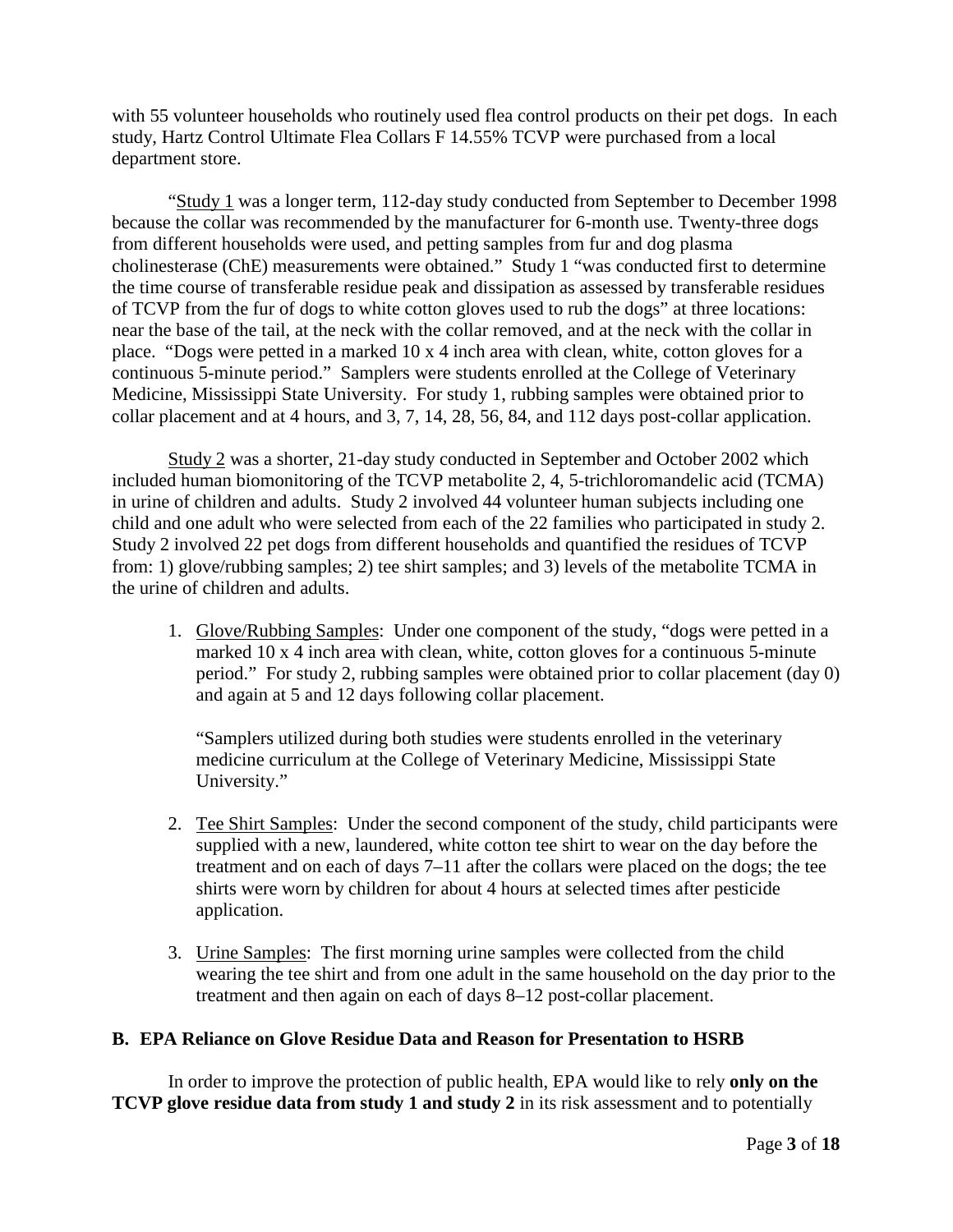with 55 volunteer households who routinely used flea control products on their pet dogs. In each study, Hartz Control Ultimate Flea Collars F 14.55% TCVP were purchased from a local department store.

"Study 1 was a longer term, 112-day study conducted from September to December 1998 because the collar was recommended by the manufacturer for 6-month use. Twenty-three dogs from different households were used, and petting samples from fur and dog plasma cholinesterase (ChE) measurements were obtained." Study 1 "was conducted first to determine the time course of transferable residue peak and dissipation as assessed by transferable residues of TCVP from the fur of dogs to white cotton gloves used to rub the dogs" at three locations: near the base of the tail, at the neck with the collar removed, and at the neck with the collar in place. "Dogs were petted in a marked 10 x 4 inch area with clean, white, cotton gloves for a continuous 5-minute period." Samplers were students enrolled at the College of Veterinary Medicine, Mississippi State University. For study 1, rubbing samples were obtained prior to collar placement and at 4 hours, and 3, 7, 14, 28, 56, 84, and 112 days post-collar application.

Study 2 was a shorter, 21-day study conducted in September and October 2002 which included human biomonitoring of the TCVP metabolite 2, 4, 5-trichloromandelic acid (TCMA) in urine of children and adults. Study 2 involved 44 volunteer human subjects including one child and one adult who were selected from each of the 22 families who participated in study 2. Study 2 involved 22 pet dogs from different households and quantified the residues of TCVP from: 1) glove/rubbing samples; 2) tee shirt samples; and 3) levels of the metabolite TCMA in the urine of children and adults.

1. Glove/Rubbing Samples: Under one component of the study, "dogs were petted in a marked 10 x 4 inch area with clean, white, cotton gloves for a continuous 5-minute period." For study 2, rubbing samples were obtained prior to collar placement (day 0) and again at 5 and 12 days following collar placement.

"Samplers utilized during both studies were students enrolled in the veterinary medicine curriculum at the College of Veterinary Medicine, Mississippi State University."

- 2. Tee Shirt Samples: Under the second component of the study, child participants were supplied with a new, laundered, white cotton tee shirt to wear on the day before the treatment and on each of days 7–11 after the collars were placed on the dogs; the tee shirts were worn by children for about 4 hours at selected times after pesticide application.
- 3. Urine Samples: The first morning urine samples were collected from the child wearing the tee shirt and from one adult in the same household on the day prior to the treatment and then again on each of days 8–12 post-collar placement.

## **B. EPA Reliance on Glove Residue Data and Reason for Presentation to HSRB**

In order to improve the protection of public health, EPA would like to rely **only on the TCVP glove residue data from study 1 and study 2** in its risk assessment and to potentially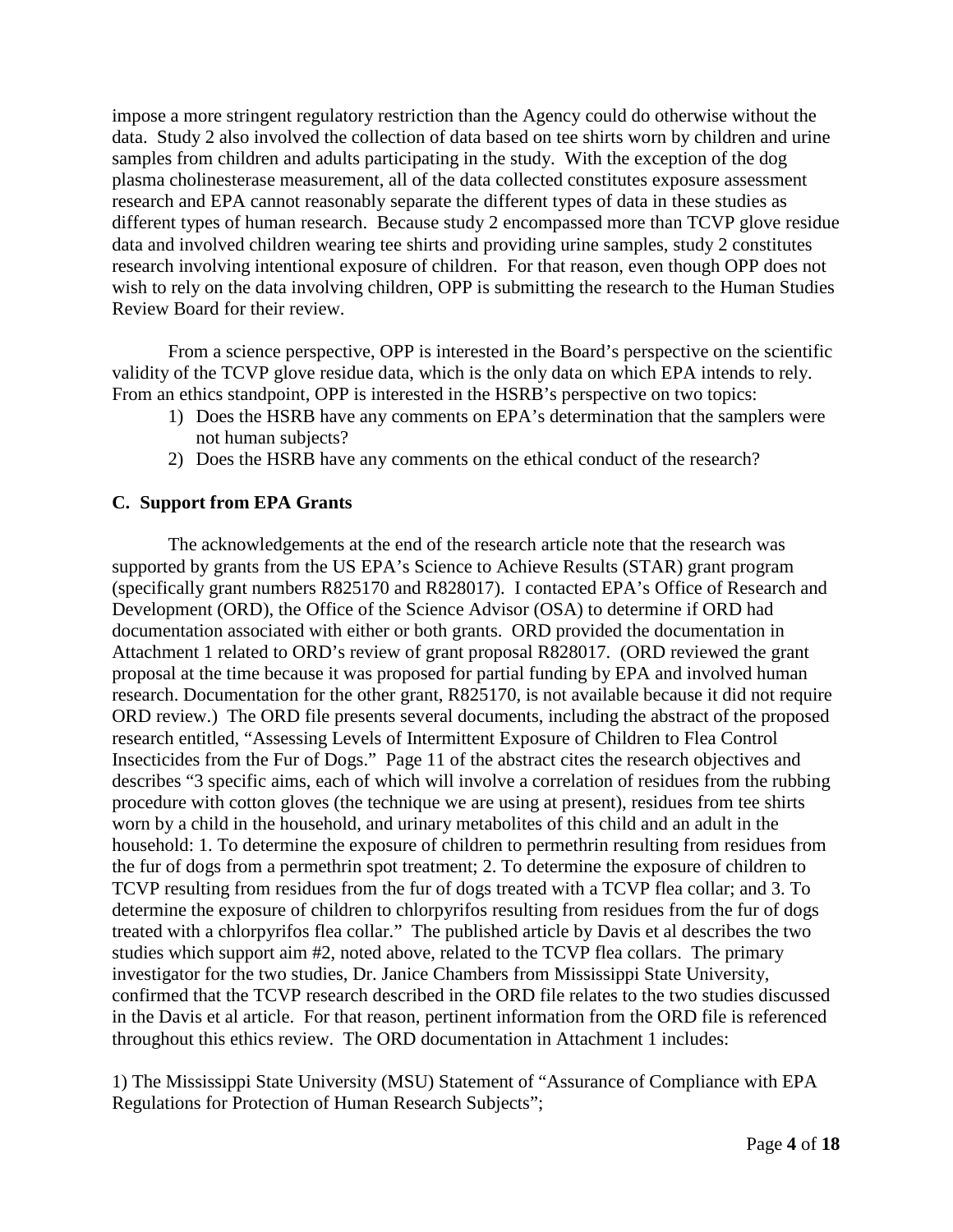impose a more stringent regulatory restriction than the Agency could do otherwise without the data. Study 2 also involved the collection of data based on tee shirts worn by children and urine samples from children and adults participating in the study. With the exception of the dog plasma cholinesterase measurement, all of the data collected constitutes exposure assessment research and EPA cannot reasonably separate the different types of data in these studies as different types of human research. Because study 2 encompassed more than TCVP glove residue data and involved children wearing tee shirts and providing urine samples, study 2 constitutes research involving intentional exposure of children. For that reason, even though OPP does not wish to rely on the data involving children, OPP is submitting the research to the Human Studies Review Board for their review.

From a science perspective, OPP is interested in the Board's perspective on the scientific validity of the TCVP glove residue data, which is the only data on which EPA intends to rely. From an ethics standpoint, OPP is interested in the HSRB's perspective on two topics:

- 1) Does the HSRB have any comments on EPA's determination that the samplers were not human subjects?
- 2) Does the HSRB have any comments on the ethical conduct of the research?

## **C. Support from EPA Grants**

The acknowledgements at the end of the research article note that the research was supported by grants from the US EPA's Science to Achieve Results (STAR) grant program (specifically grant numbers R825170 and R828017). I contacted EPA's Office of Research and Development (ORD), the Office of the Science Advisor (OSA) to determine if ORD had documentation associated with either or both grants. ORD provided the documentation in Attachment 1 related to ORD's review of grant proposal R828017. (ORD reviewed the grant proposal at the time because it was proposed for partial funding by EPA and involved human research. Documentation for the other grant, R825170, is not available because it did not require ORD review.) The ORD file presents several documents, including the abstract of the proposed research entitled, "Assessing Levels of Intermittent Exposure of Children to Flea Control Insecticides from the Fur of Dogs." Page 11 of the abstract cites the research objectives and describes "3 specific aims, each of which will involve a correlation of residues from the rubbing procedure with cotton gloves (the technique we are using at present), residues from tee shirts worn by a child in the household, and urinary metabolites of this child and an adult in the household: 1. To determine the exposure of children to permethrin resulting from residues from the fur of dogs from a permethrin spot treatment; 2. To determine the exposure of children to TCVP resulting from residues from the fur of dogs treated with a TCVP flea collar; and 3. To determine the exposure of children to chlorpyrifos resulting from residues from the fur of dogs treated with a chlorpyrifos flea collar." The published article by Davis et al describes the two studies which support aim #2, noted above, related to the TCVP flea collars. The primary investigator for the two studies, Dr. Janice Chambers from Mississippi State University, confirmed that the TCVP research described in the ORD file relates to the two studies discussed in the Davis et al article. For that reason, pertinent information from the ORD file is referenced throughout this ethics review. The ORD documentation in Attachment 1 includes:

1) The Mississippi State University (MSU) Statement of "Assurance of Compliance with EPA Regulations for Protection of Human Research Subjects";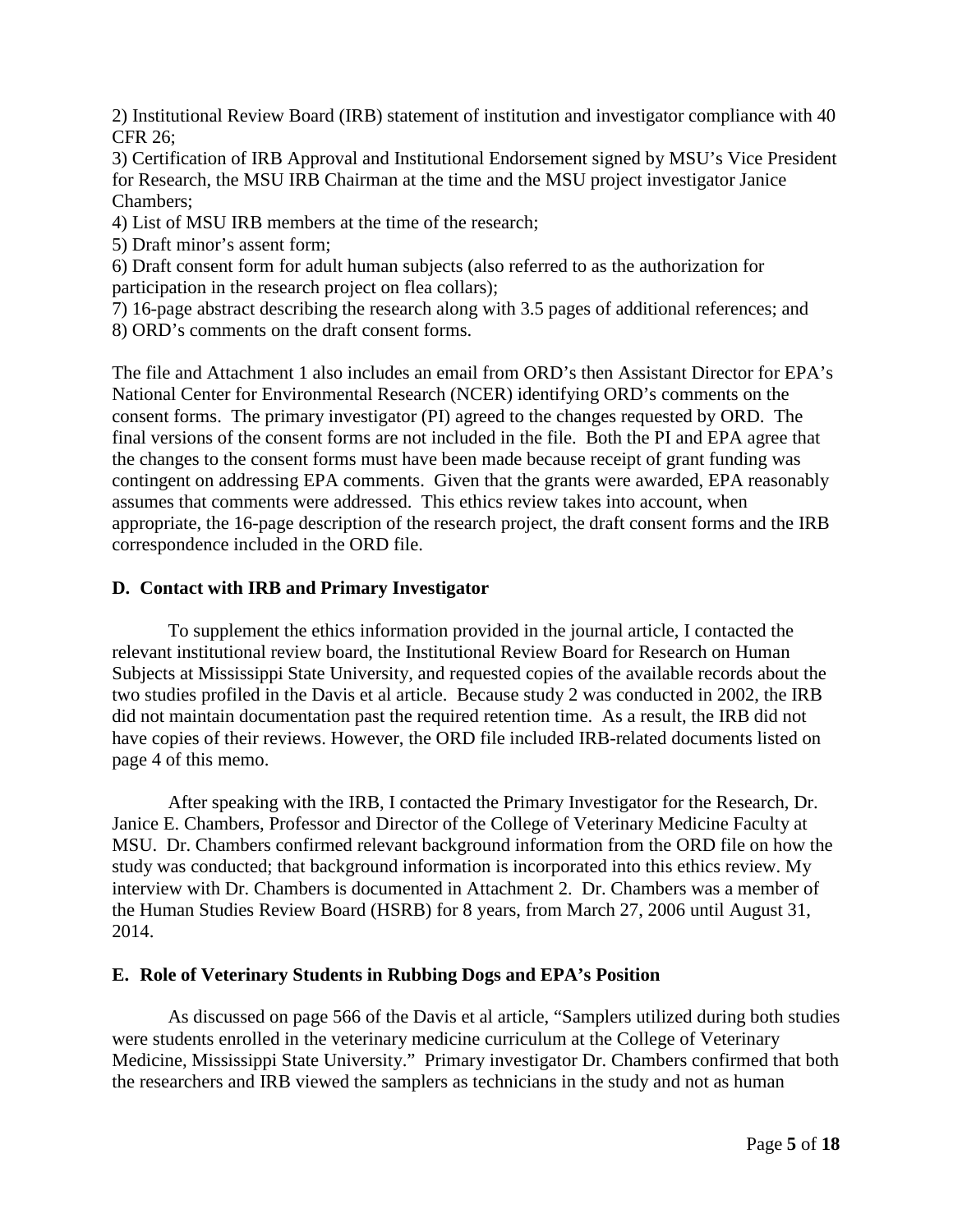2) Institutional Review Board (IRB) statement of institution and investigator compliance with 40 CFR 26;

3) Certification of IRB Approval and Institutional Endorsement signed by MSU's Vice President for Research, the MSU IRB Chairman at the time and the MSU project investigator Janice Chambers;

4) List of MSU IRB members at the time of the research;

5) Draft minor's assent form;

6) Draft consent form for adult human subjects (also referred to as the authorization for participation in the research project on flea collars);

7) 16-page abstract describing the research along with 3.5 pages of additional references; and 8) ORD's comments on the draft consent forms.

The file and Attachment 1 also includes an email from ORD's then Assistant Director for EPA's National Center for Environmental Research (NCER) identifying ORD's comments on the consent forms. The primary investigator (PI) agreed to the changes requested by ORD. The final versions of the consent forms are not included in the file. Both the PI and EPA agree that the changes to the consent forms must have been made because receipt of grant funding was contingent on addressing EPA comments. Given that the grants were awarded, EPA reasonably assumes that comments were addressed. This ethics review takes into account, when appropriate, the 16-page description of the research project, the draft consent forms and the IRB correspondence included in the ORD file.

#### **D. Contact with IRB and Primary Investigator**

To supplement the ethics information provided in the journal article, I contacted the relevant institutional review board, the Institutional Review Board for Research on Human Subjects at Mississippi State University, and requested copies of the available records about the two studies profiled in the Davis et al article. Because study 2 was conducted in 2002, the IRB did not maintain documentation past the required retention time. As a result, the IRB did not have copies of their reviews. However, the ORD file included IRB-related documents listed on page 4 of this memo.

After speaking with the IRB, I contacted the Primary Investigator for the Research, Dr. Janice E. Chambers, Professor and Director of the College of Veterinary Medicine Faculty at MSU. Dr. Chambers confirmed relevant background information from the ORD file on how the study was conducted; that background information is incorporated into this ethics review. My interview with Dr. Chambers is documented in Attachment 2. Dr. Chambers was a member of the Human Studies Review Board (HSRB) for 8 years, from March 27, 2006 until August 31, 2014.

#### **E. Role of Veterinary Students in Rubbing Dogs and EPA's Position**

As discussed on page 566 of the Davis et al article, "Samplers utilized during both studies were students enrolled in the veterinary medicine curriculum at the College of Veterinary Medicine, Mississippi State University." Primary investigator Dr. Chambers confirmed that both the researchers and IRB viewed the samplers as technicians in the study and not as human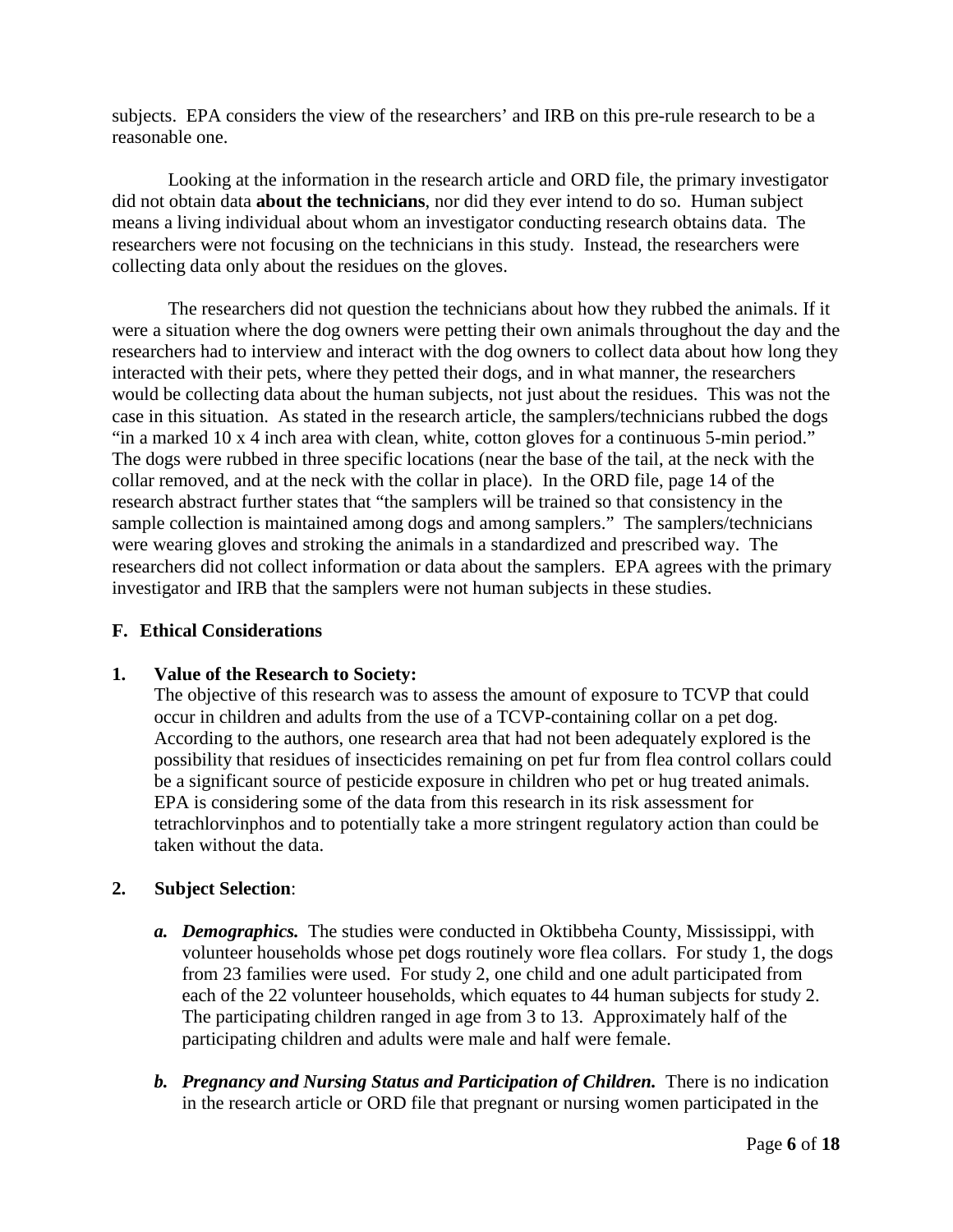subjects. EPA considers the view of the researchers' and IRB on this pre-rule research to be a reasonable one.

Looking at the information in the research article and ORD file, the primary investigator did not obtain data **about the technicians**, nor did they ever intend to do so. Human subject means a living individual about whom an investigator conducting research obtains data. The researchers were not focusing on the technicians in this study. Instead, the researchers were collecting data only about the residues on the gloves.

The researchers did not question the technicians about how they rubbed the animals. If it were a situation where the dog owners were petting their own animals throughout the day and the researchers had to interview and interact with the dog owners to collect data about how long they interacted with their pets, where they petted their dogs, and in what manner, the researchers would be collecting data about the human subjects, not just about the residues. This was not the case in this situation. As stated in the research article, the samplers/technicians rubbed the dogs "in a marked 10 x 4 inch area with clean, white, cotton gloves for a continuous 5-min period." The dogs were rubbed in three specific locations (near the base of the tail, at the neck with the collar removed, and at the neck with the collar in place). In the ORD file, page 14 of the research abstract further states that "the samplers will be trained so that consistency in the sample collection is maintained among dogs and among samplers." The samplers/technicians were wearing gloves and stroking the animals in a standardized and prescribed way. The researchers did not collect information or data about the samplers. EPA agrees with the primary investigator and IRB that the samplers were not human subjects in these studies.

#### **F. Ethical Considerations**

#### **1. Value of the Research to Society:**

The objective of this research was to assess the amount of exposure to TCVP that could occur in children and adults from the use of a TCVP-containing collar on a pet dog. According to the authors, one research area that had not been adequately explored is the possibility that residues of insecticides remaining on pet fur from flea control collars could be a significant source of pesticide exposure in children who pet or hug treated animals. EPA is considering some of the data from this research in its risk assessment for tetrachlorvinphos and to potentially take a more stringent regulatory action than could be taken without the data.

## **2. Subject Selection**:

- *a. Demographics.* The studies were conducted in Oktibbeha County, Mississippi, with volunteer households whose pet dogs routinely wore flea collars.For study 1, the dogs from 23 families were used. For study 2, one child and one adult participated from each of the 22 volunteer households, which equates to 44 human subjects for study 2. The participating children ranged in age from 3 to 13. Approximately half of the participating children and adults were male and half were female.
- *b. Pregnancy and Nursing Status and Participation of Children.* There is no indication in the research article or ORD file that pregnant or nursing women participated in the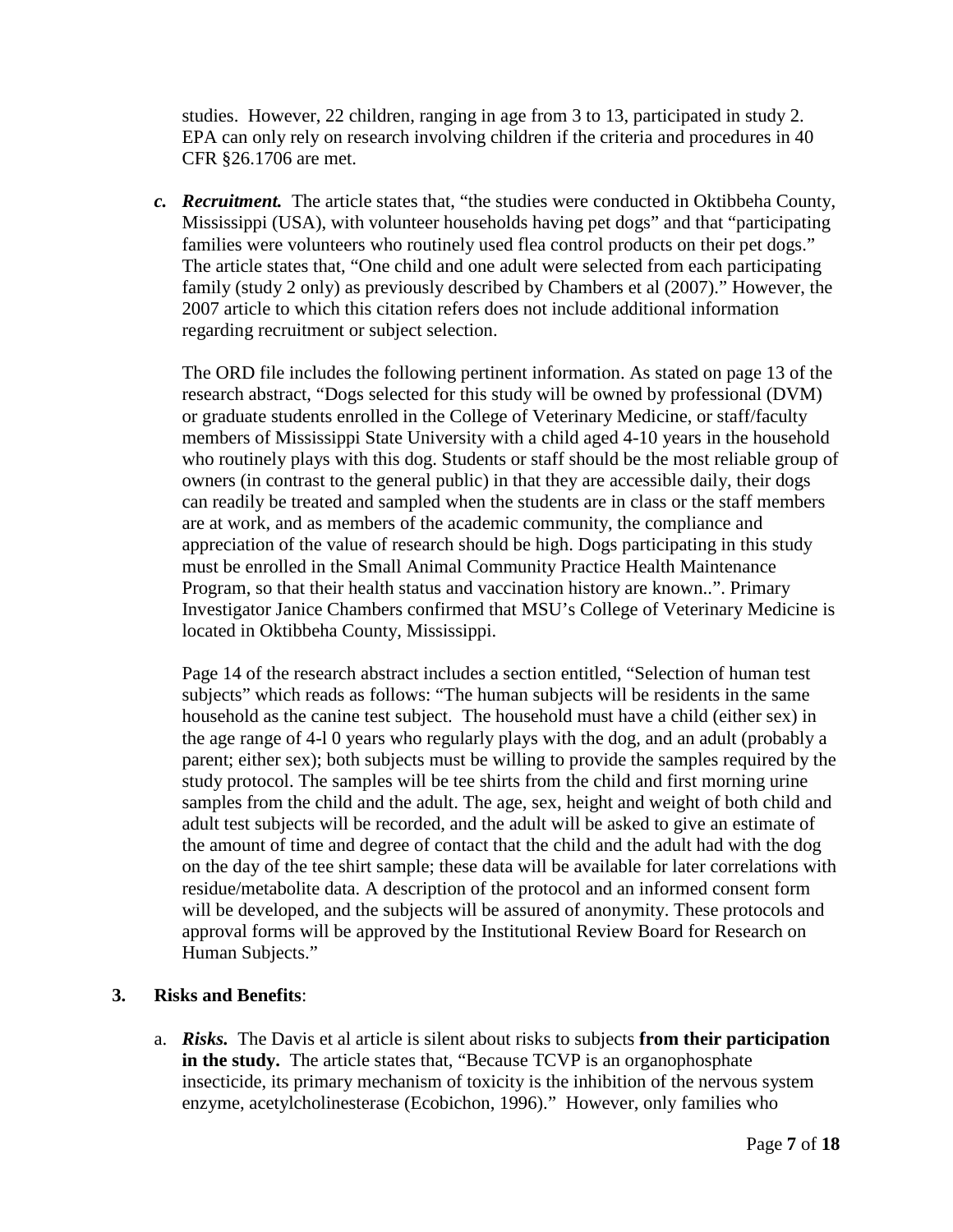studies. However, 22 children, ranging in age from 3 to 13, participated in study 2. EPA can only rely on research involving children if the criteria and procedures in 40 CFR §26.1706 are met.

*c. Recruitment.* The article states that, "the studies were conducted in Oktibbeha County, Mississippi (USA), with volunteer households having pet dogs" and that "participating families were volunteers who routinely used flea control products on their pet dogs." The article states that, "One child and one adult were selected from each participating family (study 2 only) as previously described by Chambers et al (2007)." However, the 2007 article to which this citation refers does not include additional information regarding recruitment or subject selection.

The ORD file includes the following pertinent information. As stated on page 13 of the research abstract, "Dogs selected for this study will be owned by professional (DVM) or graduate students enrolled in the College of Veterinary Medicine, or staff/faculty members of Mississippi State University with a child aged 4-10 years in the household who routinely plays with this dog. Students or staff should be the most reliable group of owners (in contrast to the general public) in that they are accessible daily, their dogs can readily be treated and sampled when the students are in class or the staff members are at work, and as members of the academic community, the compliance and appreciation of the value of research should be high. Dogs participating in this study must be enrolled in the Small Animal Community Practice Health Maintenance Program, so that their health status and vaccination history are known..". Primary Investigator Janice Chambers confirmed that MSU's College of Veterinary Medicine is located in Oktibbeha County, Mississippi.

Page 14 of the research abstract includes a section entitled, "Selection of human test subjects" which reads as follows: "The human subjects will be residents in the same household as the canine test subject. The household must have a child (either sex) in the age range of 4-l 0 years who regularly plays with the dog, and an adult (probably a parent; either sex); both subjects must be willing to provide the samples required by the study protocol. The samples will be tee shirts from the child and first morning urine samples from the child and the adult. The age, sex, height and weight of both child and adult test subjects will be recorded, and the adult will be asked to give an estimate of the amount of time and degree of contact that the child and the adult had with the dog on the day of the tee shirt sample; these data will be available for later correlations with residue/metabolite data. A description of the protocol and an informed consent form will be developed, and the subjects will be assured of anonymity. These protocols and approval forms will be approved by the Institutional Review Board for Research on Human Subjects."

## **3. Risks and Benefits**:

a. *Risks.* The Davis et al article is silent about risks to subjects **from their participation in the study.** The article states that, "Because TCVP is an organophosphate insecticide, its primary mechanism of toxicity is the inhibition of the nervous system enzyme, acetylcholinesterase (Ecobichon, 1996)." However, only families who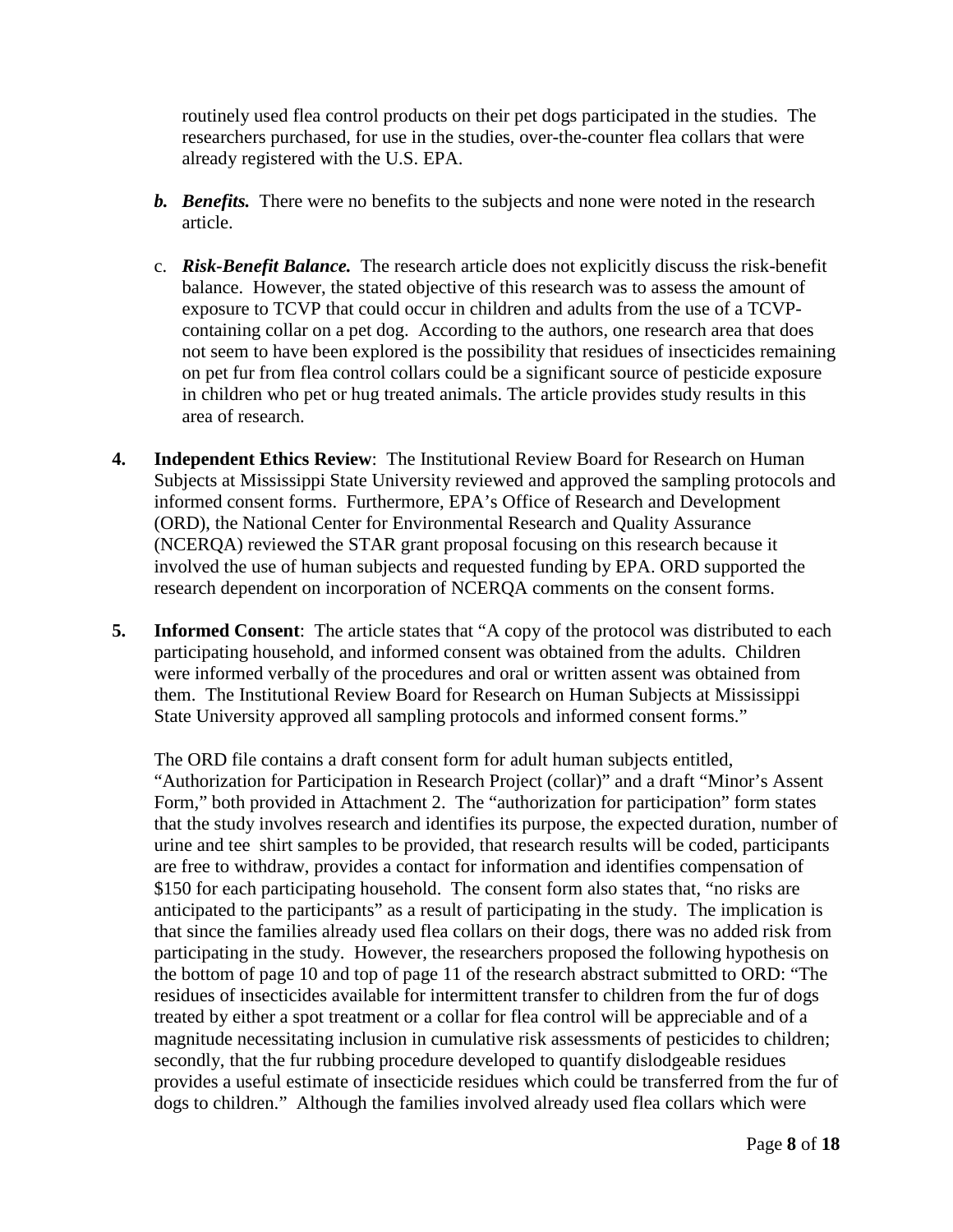routinely used flea control products on their pet dogs participated in the studies. The researchers purchased, for use in the studies, over-the-counter flea collars that were already registered with the U.S. EPA.

- *b. Benefits.* There were no benefits to the subjects and none were noted in the research article.
- c. *Risk-Benefit Balance.* The research article does not explicitly discuss the risk-benefit balance. However, the stated objective of this research was to assess the amount of exposure to TCVP that could occur in children and adults from the use of a TCVPcontaining collar on a pet dog. According to the authors, one research area that does not seem to have been explored is the possibility that residues of insecticides remaining on pet fur from flea control collars could be a significant source of pesticide exposure in children who pet or hug treated animals. The article provides study results in this area of research.
- **4. Independent Ethics Review**: The Institutional Review Board for Research on Human Subjects at Mississippi State University reviewed and approved the sampling protocols and informed consent forms. Furthermore, EPA's Office of Research and Development (ORD), the National Center for Environmental Research and Quality Assurance (NCERQA) reviewed the STAR grant proposal focusing on this research because it involved the use of human subjects and requested funding by EPA. ORD supported the research dependent on incorporation of NCERQA comments on the consent forms.
- **5. Informed Consent**: The article states that "A copy of the protocol was distributed to each participating household, and informed consent was obtained from the adults. Children were informed verbally of the procedures and oral or written assent was obtained from them. The Institutional Review Board for Research on Human Subjects at Mississippi State University approved all sampling protocols and informed consent forms."

The ORD file contains a draft consent form for adult human subjects entitled, "Authorization for Participation in Research Project (collar)" and a draft "Minor's Assent Form," both provided in Attachment 2. The "authorization for participation" form states that the study involves research and identifies its purpose, the expected duration, number of urine and tee shirt samples to be provided, that research results will be coded, participants are free to withdraw, provides a contact for information and identifies compensation of \$150 for each participating household. The consent form also states that, "no risks are anticipated to the participants" as a result of participating in the study. The implication is that since the families already used flea collars on their dogs, there was no added risk from participating in the study. However, the researchers proposed the following hypothesis on the bottom of page 10 and top of page 11 of the research abstract submitted to ORD: "The residues of insecticides available for intermittent transfer to children from the fur of dogs treated by either a spot treatment or a collar for flea control will be appreciable and of a magnitude necessitating inclusion in cumulative risk assessments of pesticides to children; secondly, that the fur rubbing procedure developed to quantify dislodgeable residues provides a useful estimate of insecticide residues which could be transferred from the fur of dogs to children." Although the families involved already used flea collars which were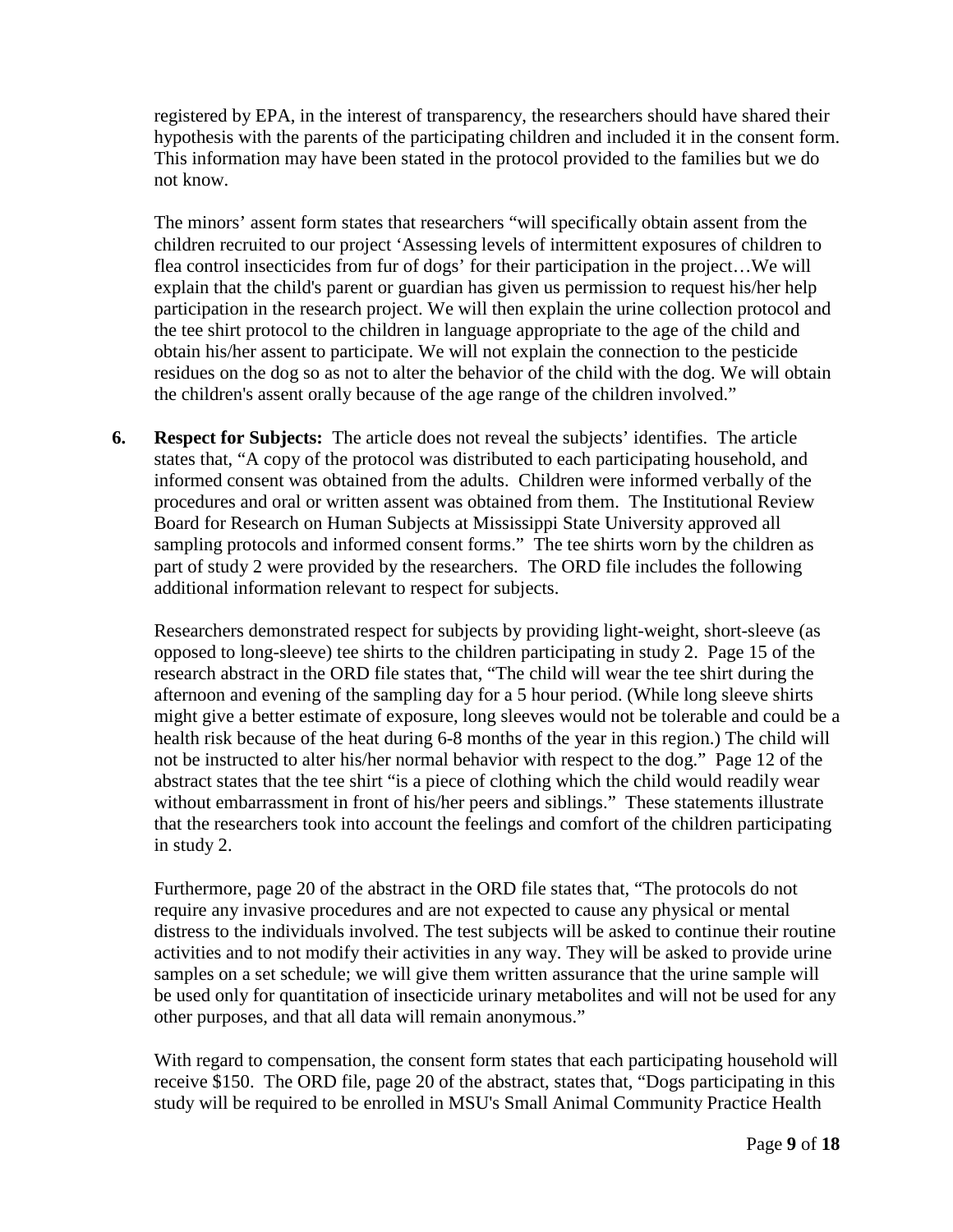registered by EPA, in the interest of transparency, the researchers should have shared their hypothesis with the parents of the participating children and included it in the consent form. This information may have been stated in the protocol provided to the families but we do not know.

The minors' assent form states that researchers "will specifically obtain assent from the children recruited to our project 'Assessing levels of intermittent exposures of children to flea control insecticides from fur of dogs' for their participation in the project…We will explain that the child's parent or guardian has given us permission to request his/her help participation in the research project. We will then explain the urine collection protocol and the tee shirt protocol to the children in language appropriate to the age of the child and obtain his/her assent to participate. We will not explain the connection to the pesticide residues on the dog so as not to alter the behavior of the child with the dog. We will obtain the children's assent orally because of the age range of the children involved."

**6. Respect for Subjects:** The article does not reveal the subjects' identifies. The article states that, "A copy of the protocol was distributed to each participating household, and informed consent was obtained from the adults. Children were informed verbally of the procedures and oral or written assent was obtained from them. The Institutional Review Board for Research on Human Subjects at Mississippi State University approved all sampling protocols and informed consent forms." The tee shirts worn by the children as part of study 2 were provided by the researchers. The ORD file includes the following additional information relevant to respect for subjects.

Researchers demonstrated respect for subjects by providing light-weight, short-sleeve (as opposed to long-sleeve) tee shirts to the children participating in study 2. Page 15 of the research abstract in the ORD file states that, "The child will wear the tee shirt during the afternoon and evening of the sampling day for a 5 hour period. (While long sleeve shirts might give a better estimate of exposure, long sleeves would not be tolerable and could be a health risk because of the heat during 6-8 months of the year in this region.) The child will not be instructed to alter his/her normal behavior with respect to the dog." Page 12 of the abstract states that the tee shirt "is a piece of clothing which the child would readily wear without embarrassment in front of his/her peers and siblings." These statements illustrate that the researchers took into account the feelings and comfort of the children participating in study 2.

Furthermore, page 20 of the abstract in the ORD file states that, "The protocols do not require any invasive procedures and are not expected to cause any physical or mental distress to the individuals involved. The test subjects will be asked to continue their routine activities and to not modify their activities in any way. They will be asked to provide urine samples on a set schedule; we will give them written assurance that the urine sample will be used only for quantitation of insecticide urinary metabolites and will not be used for any other purposes, and that all data will remain anonymous."

With regard to compensation, the consent form states that each participating household will receive \$150. The ORD file, page 20 of the abstract, states that, "Dogs participating in this study will be required to be enrolled in MSU's Small Animal Community Practice Health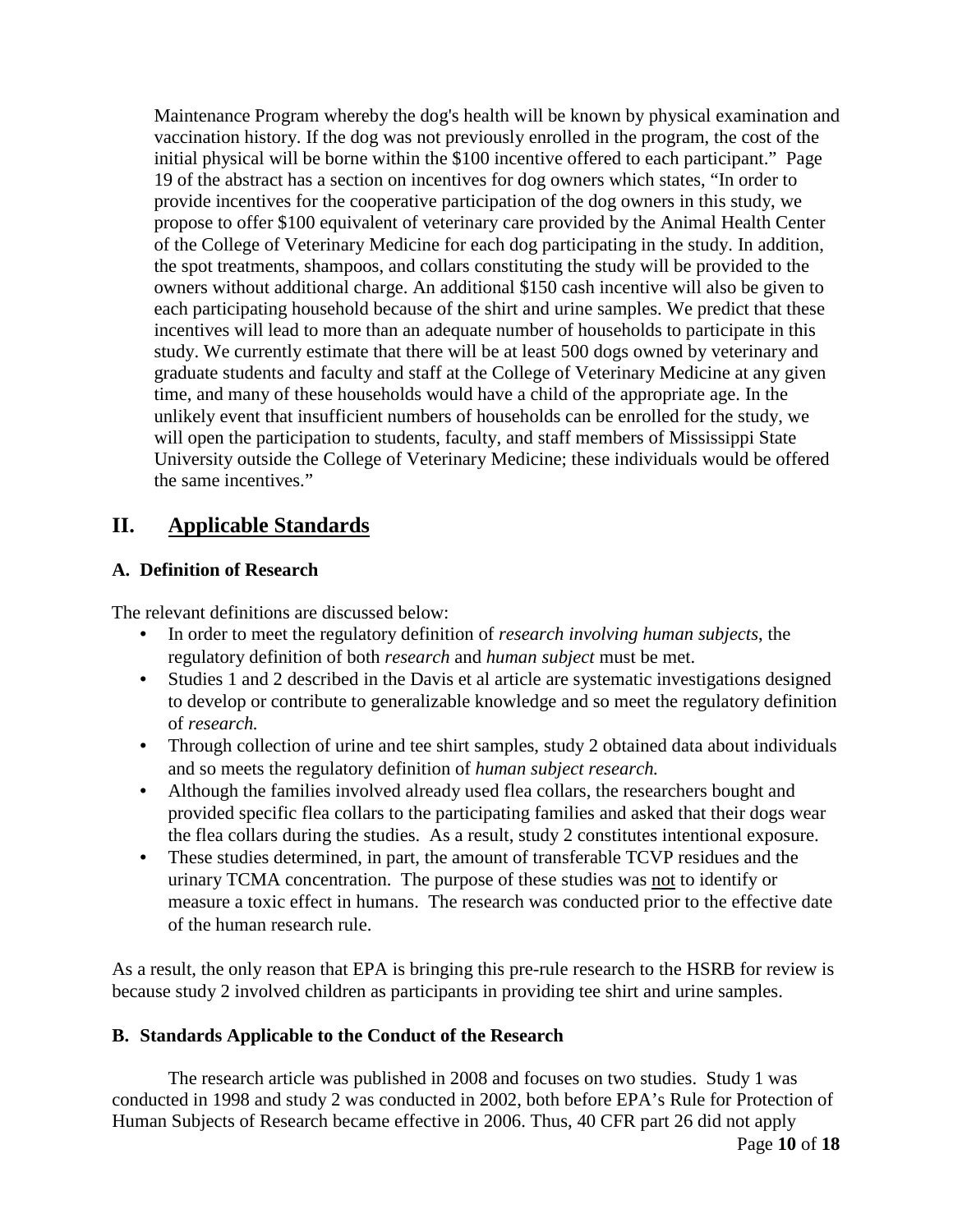Maintenance Program whereby the dog's health will be known by physical examination and vaccination history. If the dog was not previously enrolled in the program, the cost of the initial physical will be borne within the \$100 incentive offered to each participant." Page 19 of the abstract has a section on incentives for dog owners which states, "In order to provide incentives for the cooperative participation of the dog owners in this study, we propose to offer \$100 equivalent of veterinary care provided by the Animal Health Center of the College of Veterinary Medicine for each dog participating in the study. In addition, the spot treatments, shampoos, and collars constituting the study will be provided to the owners without additional charge. An additional \$150 cash incentive will also be given to each participating household because of the shirt and urine samples. We predict that these incentives will lead to more than an adequate number of households to participate in this study. We currently estimate that there will be at least 500 dogs owned by veterinary and graduate students and faculty and staff at the College of Veterinary Medicine at any given time, and many of these households would have a child of the appropriate age. In the unlikely event that insufficient numbers of households can be enrolled for the study, we will open the participation to students, faculty, and staff members of Mississippi State University outside the College of Veterinary Medicine; these individuals would be offered the same incentives."

## **II. Applicable Standards**

## **A. Definition of Research**

The relevant definitions are discussed below:

- In order to meet the regulatory definition of *research involving human subjects*, the regulatory definition of both *research* and *human subject* must be met.
- Studies 1 and 2 described in the Davis et al article are systematic investigations designed to develop or contribute to generalizable knowledge and so meet the regulatory definition of *research.*
- Through collection of urine and tee shirt samples, study 2 obtained data about individuals and so meets the regulatory definition of *human subject research.*
- Although the families involved already used flea collars, the researchers bought and provided specific flea collars to the participating families and asked that their dogs wear the flea collars during the studies. As a result, study 2 constitutes intentional exposure.
- These studies determined, in part, the amount of transferable TCVP residues and the urinary TCMA concentration. The purpose of these studies was not to identify or measure a toxic effect in humans. The research was conducted prior to the effective date of the human research rule.

As a result, the only reason that EPA is bringing this pre-rule research to the HSRB for review is because study 2 involved children as participants in providing tee shirt and urine samples.

## **B. Standards Applicable to the Conduct of the Research**

The research article was published in 2008 and focuses on two studies. Study 1 was conducted in 1998 and study 2 was conducted in 2002, both before EPA's Rule for Protection of Human Subjects of Research became effective in 2006. Thus, 40 CFR part 26 did not apply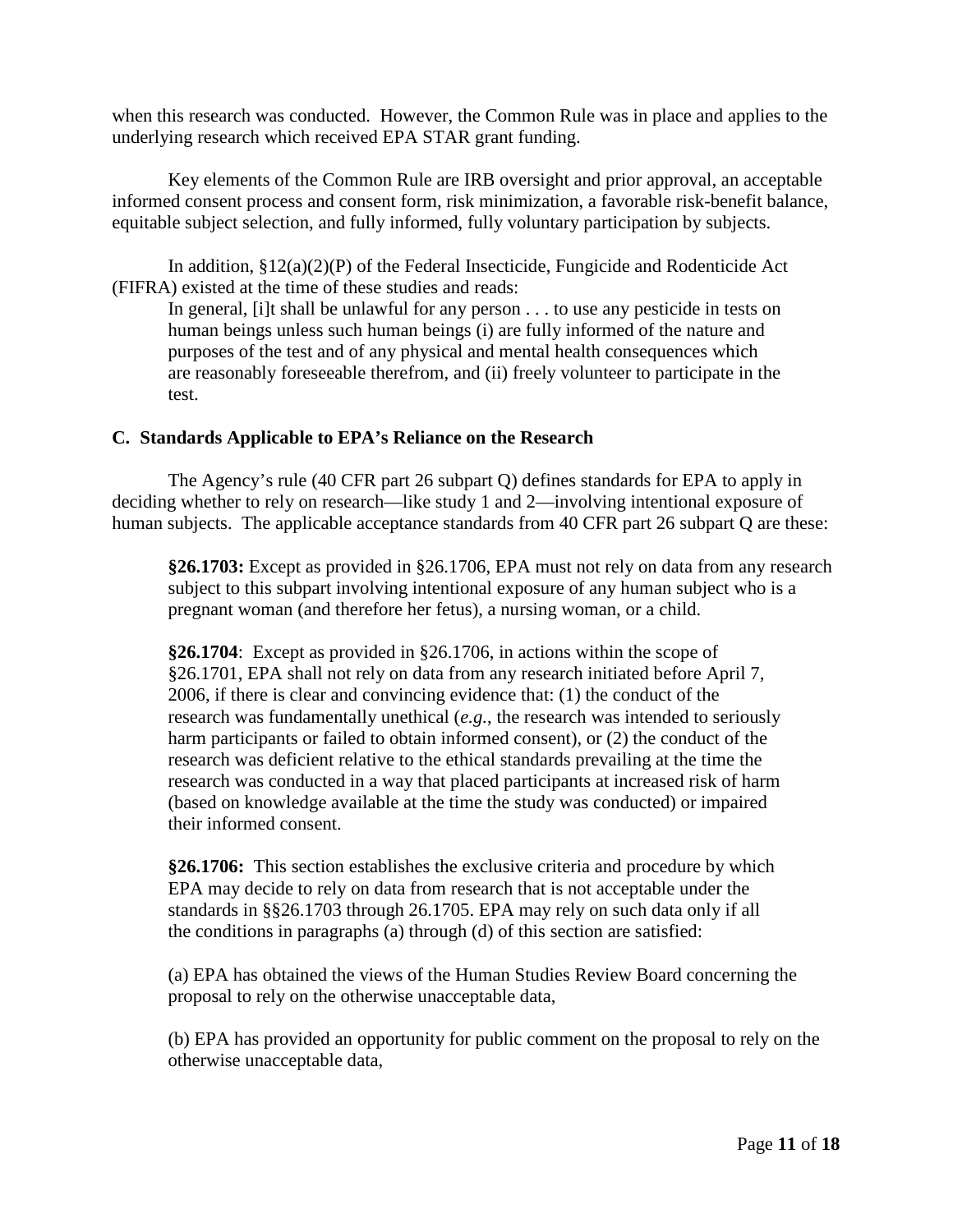when this research was conducted. However, the Common Rule was in place and applies to the underlying research which received EPA STAR grant funding.

Key elements of the Common Rule are IRB oversight and prior approval, an acceptable informed consent process and consent form, risk minimization, a favorable risk-benefit balance, equitable subject selection, and fully informed, fully voluntary participation by subjects.

In addition,  $\S 12(a)(2)(P)$  of the Federal Insecticide, Fungicide and Rodenticide Act (FIFRA) existed at the time of these studies and reads:

In general, [i]t shall be unlawful for any person . . . to use any pesticide in tests on human beings unless such human beings (i) are fully informed of the nature and purposes of the test and of any physical and mental health consequences which are reasonably foreseeable therefrom, and (ii) freely volunteer to participate in the test.

#### **C. Standards Applicable to EPA's Reliance on the Research**

The Agency's rule (40 CFR part 26 subpart Q) defines standards for EPA to apply in deciding whether to rely on research—like study 1 and 2—involving intentional exposure of human subjects. The applicable acceptance standards from 40 CFR part 26 subpart Q are these:

**§26.1703:** Except as provided in §26.1706, EPA must not rely on data from any research subject to this subpart involving intentional exposure of any human subject who is a pregnant woman (and therefore her fetus), a nursing woman, or a child.

**§26.1704**: Except as provided in §26.1706, in actions within the scope of §26.1701, EPA shall not rely on data from any research initiated before April 7, 2006, if there is clear and convincing evidence that: (1) the conduct of the research was fundamentally unethical (*e.g.*, the research was intended to seriously harm participants or failed to obtain informed consent), or (2) the conduct of the research was deficient relative to the ethical standards prevailing at the time the research was conducted in a way that placed participants at increased risk of harm (based on knowledge available at the time the study was conducted) or impaired their informed consent.

**§26.1706:** This section establishes the exclusive criteria and procedure by which EPA may decide to rely on data from research that is not acceptable under the standards in §§26.1703 through 26.1705. EPA may rely on such data only if all the conditions in paragraphs (a) through (d) of this section are satisfied:

(a) EPA has obtained the views of the Human Studies Review Board concerning the proposal to rely on the otherwise unacceptable data,

(b) EPA has provided an opportunity for public comment on the proposal to rely on the otherwise unacceptable data,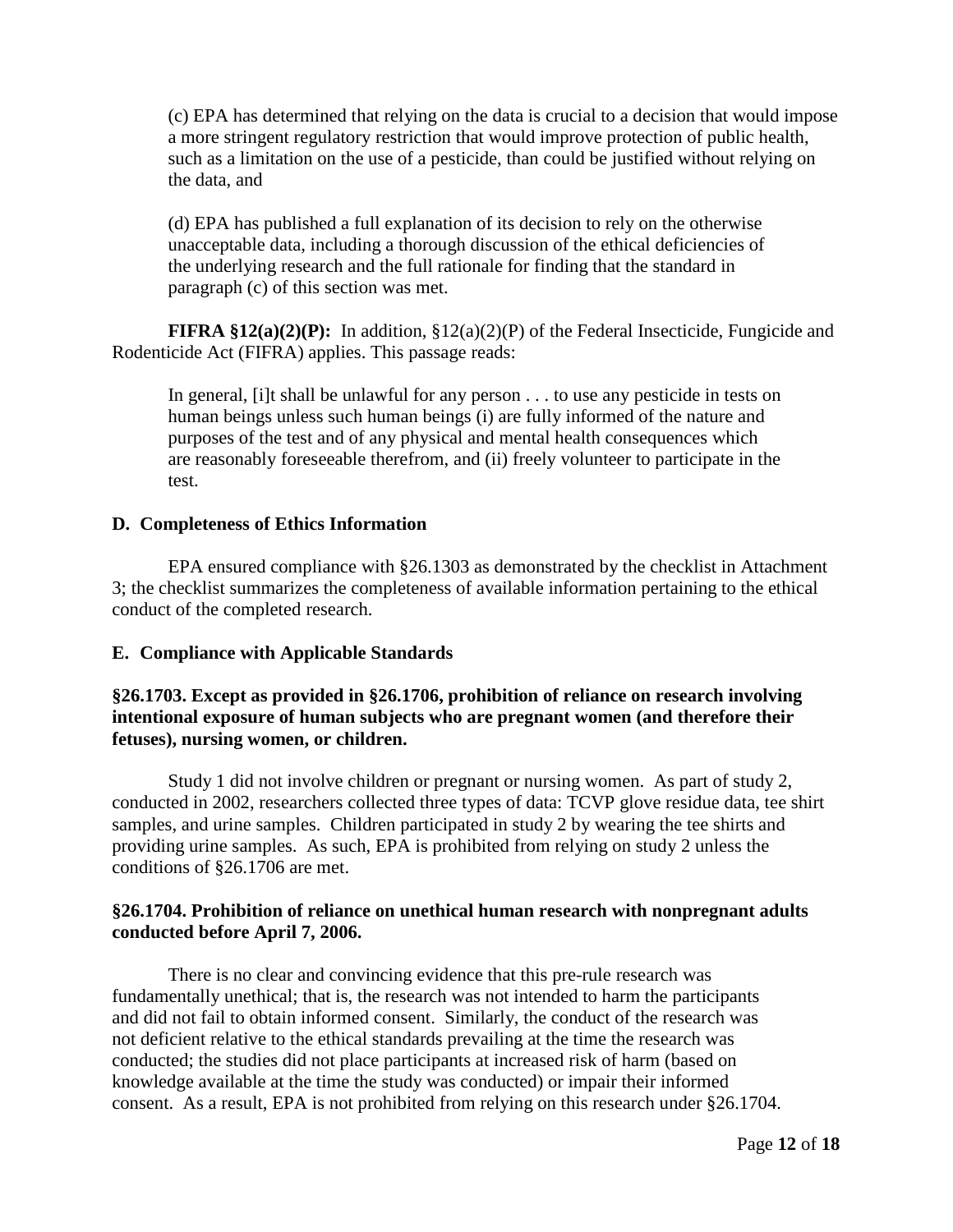(c) EPA has determined that relying on the data is crucial to a decision that would impose a more stringent regulatory restriction that would improve protection of public health, such as a limitation on the use of a pesticide, than could be justified without relying on the data, and

(d) EPA has published a full explanation of its decision to rely on the otherwise unacceptable data, including a thorough discussion of the ethical deficiencies of the underlying research and the full rationale for finding that the standard in paragraph (c) of this section was met.

**FIFRA §12(a)(2)(P):** In addition, §12(a)(2)(P) of the Federal Insecticide, Fungicide and Rodenticide Act (FIFRA) applies. This passage reads:

In general, [i]t shall be unlawful for any person . . . to use any pesticide in tests on human beings unless such human beings (i) are fully informed of the nature and purposes of the test and of any physical and mental health consequences which are reasonably foreseeable therefrom, and (ii) freely volunteer to participate in the test.

#### **D. Completeness of Ethics Information**

EPA ensured compliance with §26.1303 as demonstrated by the checklist in Attachment 3; the checklist summarizes the completeness of available information pertaining to the ethical conduct of the completed research.

#### **E. Compliance with Applicable Standards**

#### **§26.1703. Except as provided in §26.1706, prohibition of reliance on research involving intentional exposure of human subjects who are pregnant women (and therefore their fetuses), nursing women, or children.**

Study 1 did not involve children or pregnant or nursing women. As part of study 2, conducted in 2002, researchers collected three types of data: TCVP glove residue data, tee shirt samples, and urine samples. Children participated in study 2 by wearing the tee shirts and providing urine samples. As such, EPA is prohibited from relying on study 2 unless the conditions of §26.1706 are met.

#### **§26.1704. Prohibition of reliance on unethical human research with nonpregnant adults conducted before April 7, 2006.**

There is no clear and convincing evidence that this pre-rule research was fundamentally unethical; that is, the research was not intended to harm the participants and did not fail to obtain informed consent. Similarly, the conduct of the research was not deficient relative to the ethical standards prevailing at the time the research was conducted; the studies did not place participants at increased risk of harm (based on knowledge available at the time the study was conducted) or impair their informed consent. As a result, EPA is not prohibited from relying on this research under §26.1704.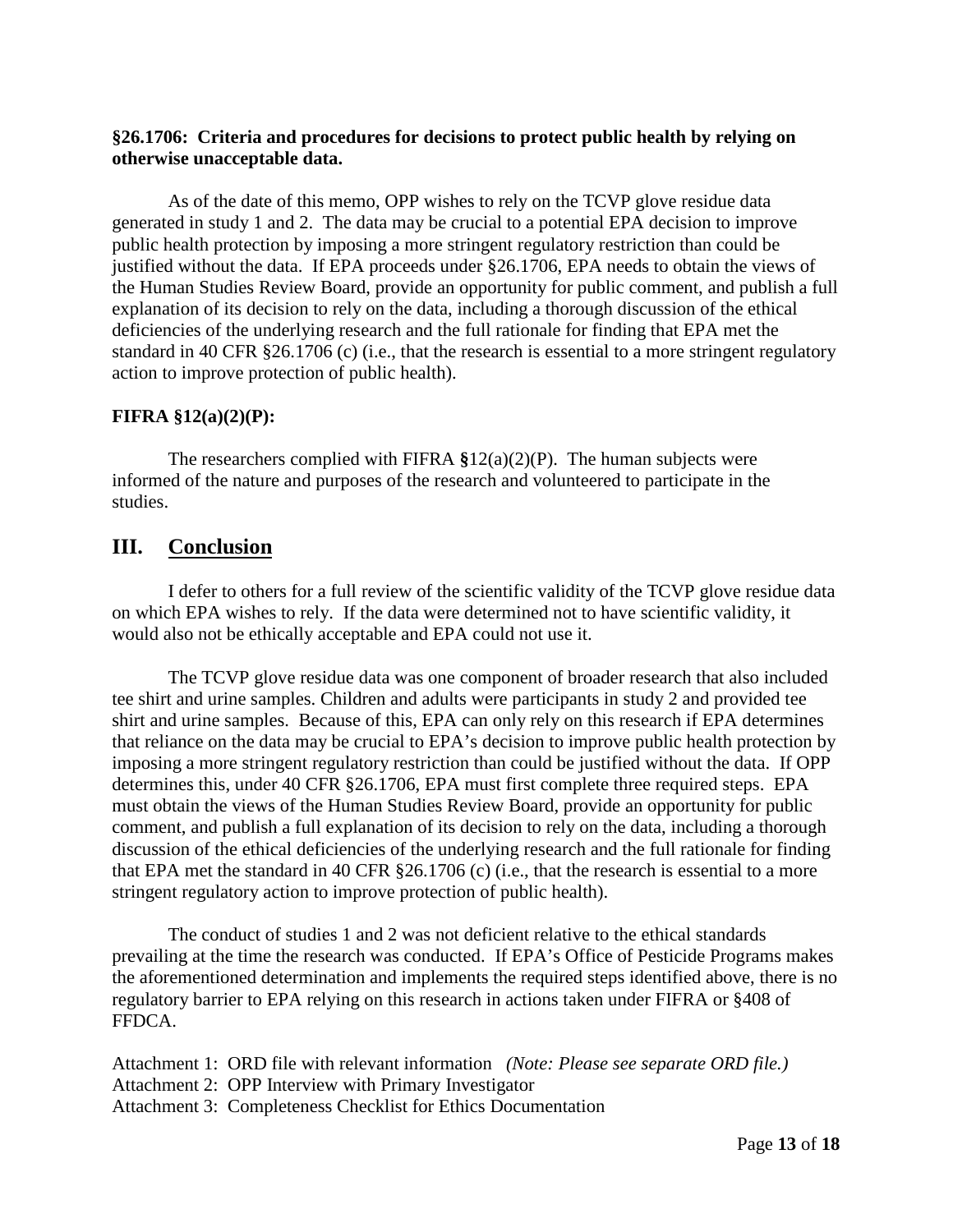#### **§26.1706: Criteria and procedures for decisions to protect public health by relying on otherwise unacceptable data.**

As of the date of this memo, OPP wishes to rely on the TCVP glove residue data generated in study 1 and 2. The data may be crucial to a potential EPA decision to improve public health protection by imposing a more stringent regulatory restriction than could be justified without the data. If EPA proceeds under §26.1706, EPA needs to obtain the views of the Human Studies Review Board, provide an opportunity for public comment, and publish a full explanation of its decision to rely on the data, including a thorough discussion of the ethical deficiencies of the underlying research and the full rationale for finding that EPA met the standard in 40 CFR §26.1706 (c) (i.e., that the research is essential to a more stringent regulatory action to improve protection of public health).

#### **FIFRA §12(a)(2)(P):**

The researchers complied with FIFRA **§**12(a)(2)(P). The human subjects were informed of the nature and purposes of the research and volunteered to participate in the studies.

## **III. Conclusion**

I defer to others for a full review of the scientific validity of the TCVP glove residue data on which EPA wishes to rely. If the data were determined not to have scientific validity, it would also not be ethically acceptable and EPA could not use it.

The TCVP glove residue data was one component of broader research that also included tee shirt and urine samples. Children and adults were participants in study 2 and provided tee shirt and urine samples. Because of this, EPA can only rely on this research if EPA determines that reliance on the data may be crucial to EPA's decision to improve public health protection by imposing a more stringent regulatory restriction than could be justified without the data. If OPP determines this, under 40 CFR §26.1706, EPA must first complete three required steps. EPA must obtain the views of the Human Studies Review Board, provide an opportunity for public comment, and publish a full explanation of its decision to rely on the data, including a thorough discussion of the ethical deficiencies of the underlying research and the full rationale for finding that EPA met the standard in 40 CFR §26.1706 (c) (i.e., that the research is essential to a more stringent regulatory action to improve protection of public health).

The conduct of studies 1 and 2 was not deficient relative to the ethical standards prevailing at the time the research was conducted. If EPA's Office of Pesticide Programs makes the aforementioned determination and implements the required steps identified above, there is no regulatory barrier to EPA relying on this research in actions taken under FIFRA or §408 of FFDCA.

Attachment 1: ORD file with relevant information *(Note: Please see separate ORD file.)* Attachment 2: OPP Interview with Primary Investigator Attachment 3: Completeness Checklist for Ethics Documentation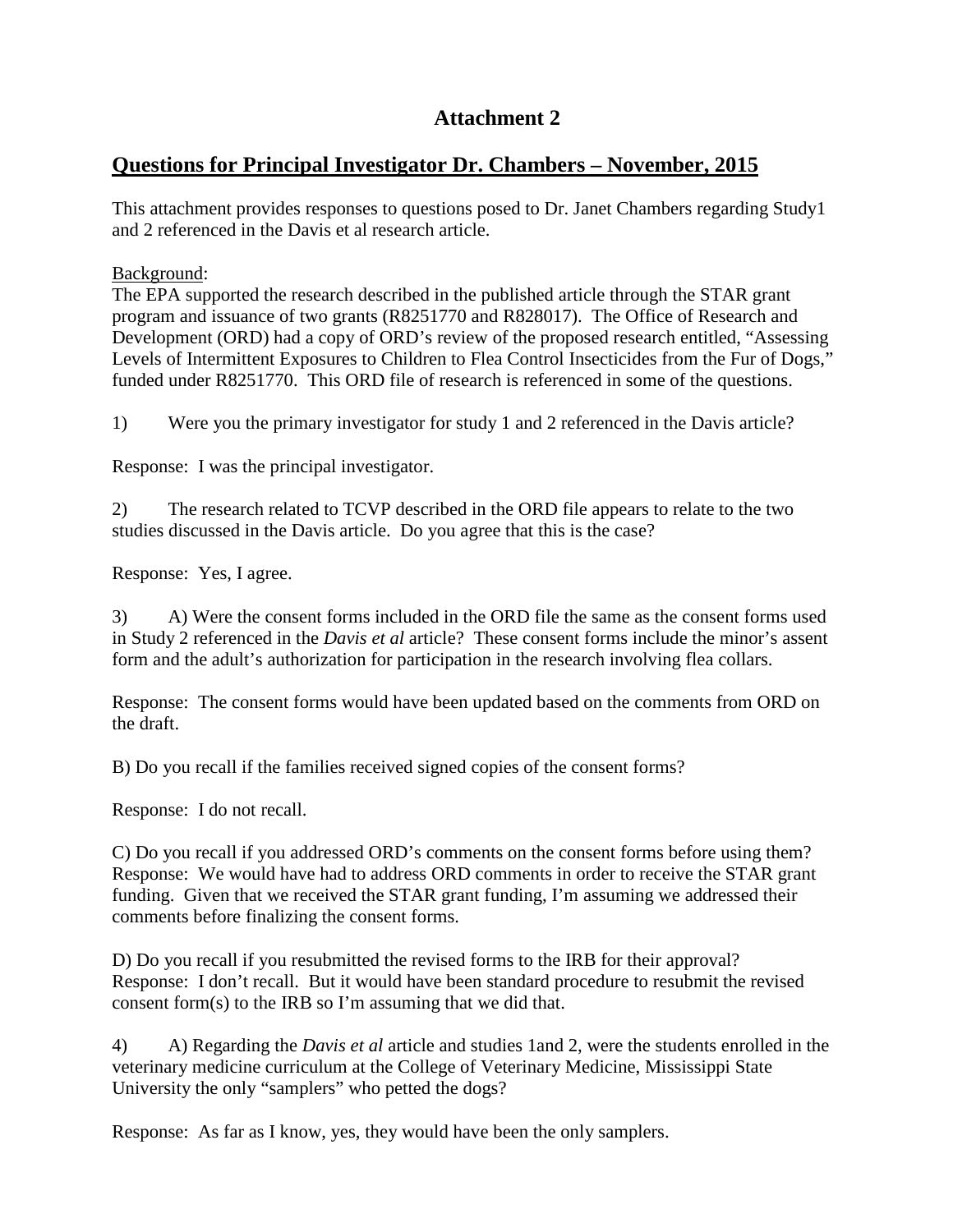# **Attachment 2**

## **Questions for Principal Investigator Dr. Chambers – November, 2015**

This attachment provides responses to questions posed to Dr. Janet Chambers regarding Study1 and 2 referenced in the Davis et al research article.

Background:

The EPA supported the research described in the published article through the STAR grant program and issuance of two grants (R8251770 and R828017). The Office of Research and Development (ORD) had a copy of ORD's review of the proposed research entitled, "Assessing Levels of Intermittent Exposures to Children to Flea Control Insecticides from the Fur of Dogs," funded under R8251770. This ORD file of research is referenced in some of the questions.

1) Were you the primary investigator for study 1 and 2 referenced in the Davis article?

Response: I was the principal investigator.

2) The research related to TCVP described in the ORD file appears to relate to the two studies discussed in the Davis article. Do you agree that this is the case?

Response: Yes, I agree.

3) A) Were the consent forms included in the ORD file the same as the consent forms used in Study 2 referenced in the *Davis et al* article? These consent forms include the minor's assent form and the adult's authorization for participation in the research involving flea collars.

Response: The consent forms would have been updated based on the comments from ORD on the draft.

B) Do you recall if the families received signed copies of the consent forms?

Response: I do not recall.

C) Do you recall if you addressed ORD's comments on the consent forms before using them? Response: We would have had to address ORD comments in order to receive the STAR grant funding. Given that we received the STAR grant funding, I'm assuming we addressed their comments before finalizing the consent forms.

D) Do you recall if you resubmitted the revised forms to the IRB for their approval? Response: I don't recall. But it would have been standard procedure to resubmit the revised consent form(s) to the IRB so I'm assuming that we did that.

4) A) Regarding the *Davis et al* article and studies 1and 2, were the students enrolled in the veterinary medicine curriculum at the College of Veterinary Medicine, Mississippi State University the only "samplers" who petted the dogs?

Response: As far as I know, yes, they would have been the only samplers.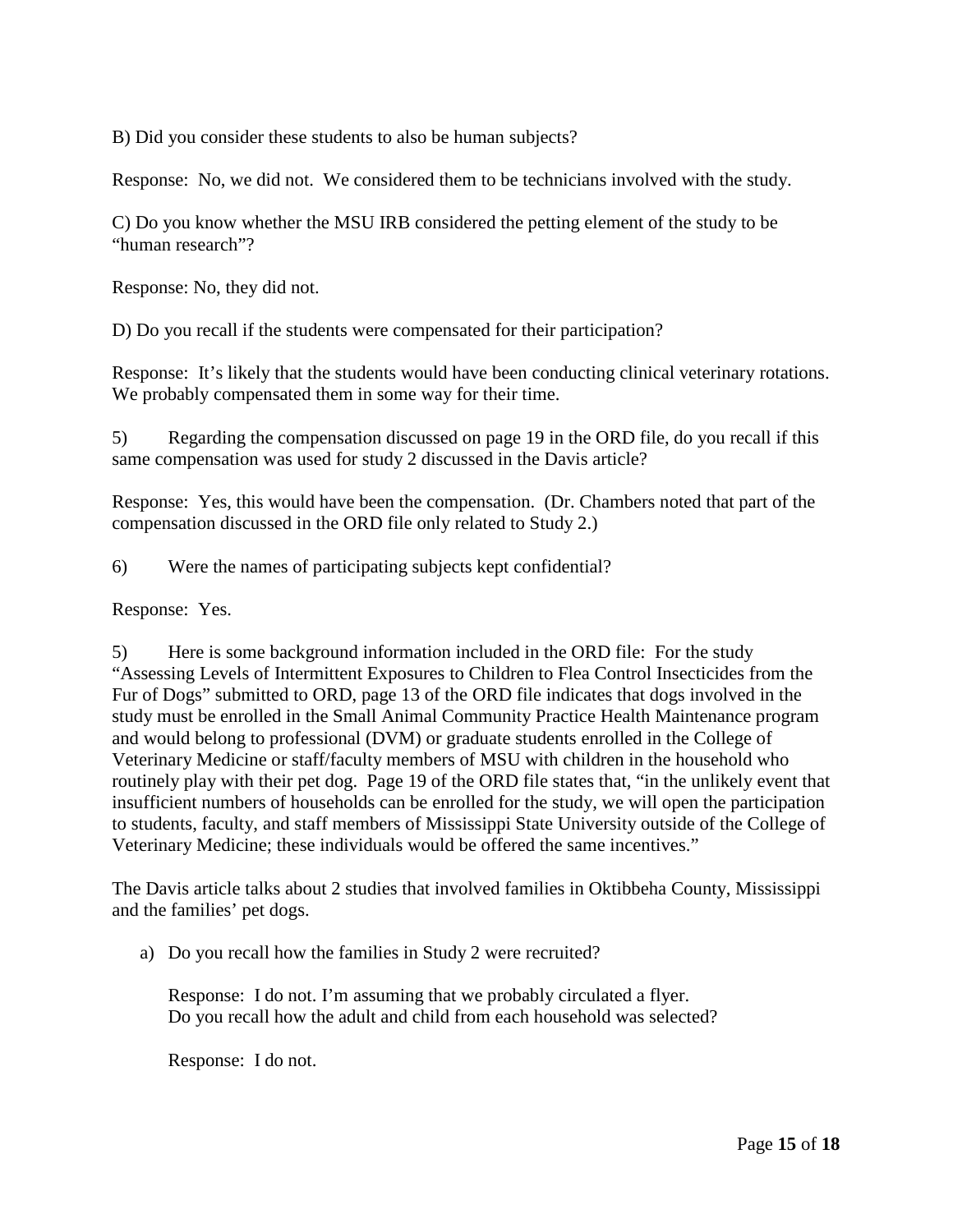B) Did you consider these students to also be human subjects?

Response: No, we did not. We considered them to be technicians involved with the study.

C) Do you know whether the MSU IRB considered the petting element of the study to be "human research"?

Response: No, they did not.

D) Do you recall if the students were compensated for their participation?

Response: It's likely that the students would have been conducting clinical veterinary rotations. We probably compensated them in some way for their time.

5) Regarding the compensation discussed on page 19 in the ORD file, do you recall if this same compensation was used for study 2 discussed in the Davis article?

Response: Yes, this would have been the compensation. (Dr. Chambers noted that part of the compensation discussed in the ORD file only related to Study 2.)

6) Were the names of participating subjects kept confidential?

Response: Yes.

5) Here is some background information included in the ORD file: For the study "Assessing Levels of Intermittent Exposures to Children to Flea Control Insecticides from the Fur of Dogs" submitted to ORD, page 13 of the ORD file indicates that dogs involved in the study must be enrolled in the Small Animal Community Practice Health Maintenance program and would belong to professional (DVM) or graduate students enrolled in the College of Veterinary Medicine or staff/faculty members of MSU with children in the household who routinely play with their pet dog. Page 19 of the ORD file states that, "in the unlikely event that insufficient numbers of households can be enrolled for the study, we will open the participation to students, faculty, and staff members of Mississippi State University outside of the College of Veterinary Medicine; these individuals would be offered the same incentives."

The Davis article talks about 2 studies that involved families in Oktibbeha County, Mississippi and the families' pet dogs.

a) Do you recall how the families in Study 2 were recruited?

Response: I do not. I'm assuming that we probably circulated a flyer. Do you recall how the adult and child from each household was selected?

Response: I do not.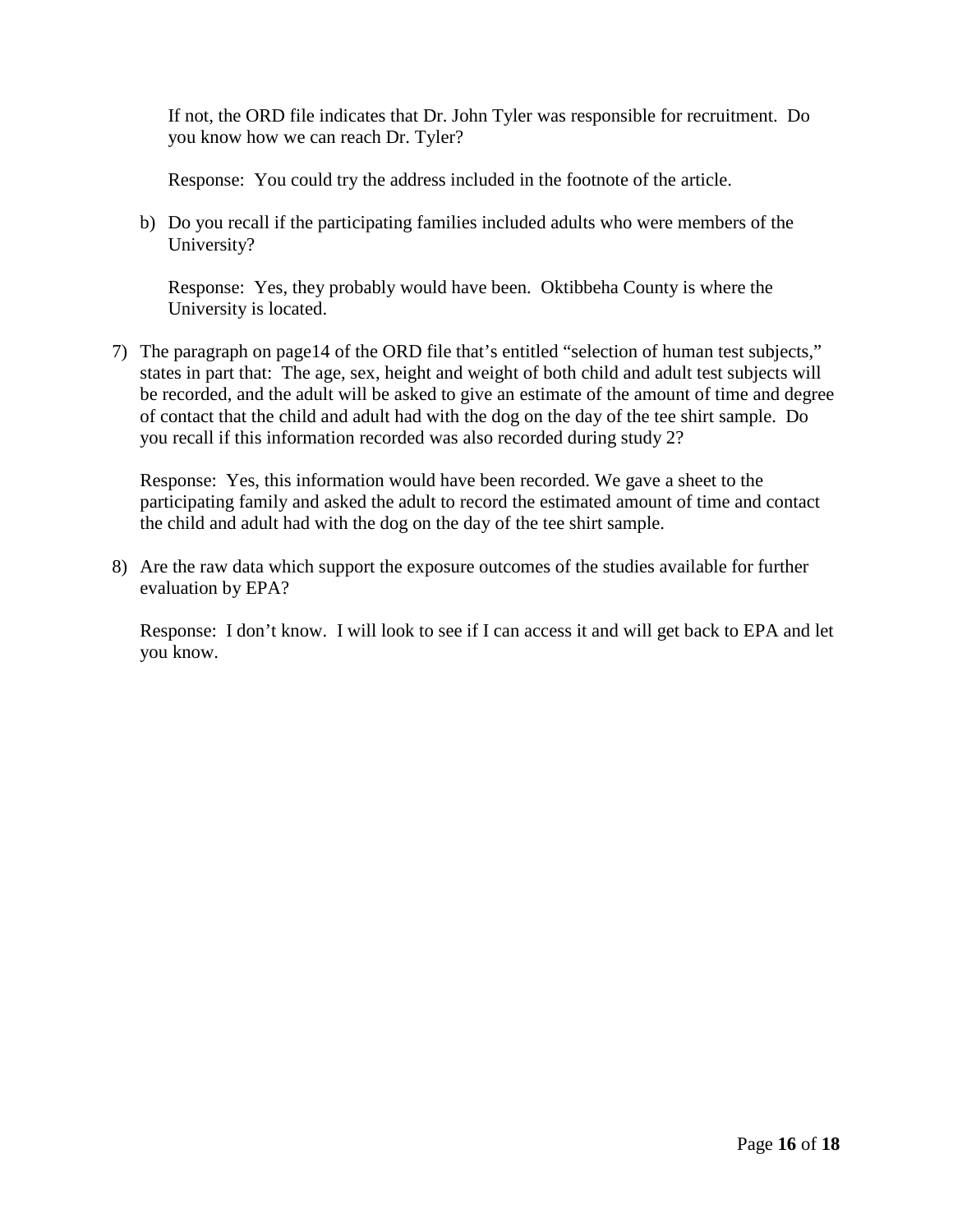If not, the ORD file indicates that Dr. John Tyler was responsible for recruitment. Do you know how we can reach Dr. Tyler?

Response: You could try the address included in the footnote of the article.

b) Do you recall if the participating families included adults who were members of the University?

Response: Yes, they probably would have been. Oktibbeha County is where the University is located.

7) The paragraph on page14 of the ORD file that's entitled "selection of human test subjects," states in part that: The age, sex, height and weight of both child and adult test subjects will be recorded, and the adult will be asked to give an estimate of the amount of time and degree of contact that the child and adult had with the dog on the day of the tee shirt sample. Do you recall if this information recorded was also recorded during study 2?

Response: Yes, this information would have been recorded. We gave a sheet to the participating family and asked the adult to record the estimated amount of time and contact the child and adult had with the dog on the day of the tee shirt sample.

8) Are the raw data which support the exposure outcomes of the studies available for further evaluation by EPA?

Response: I don't know. I will look to see if I can access it and will get back to EPA and let you know.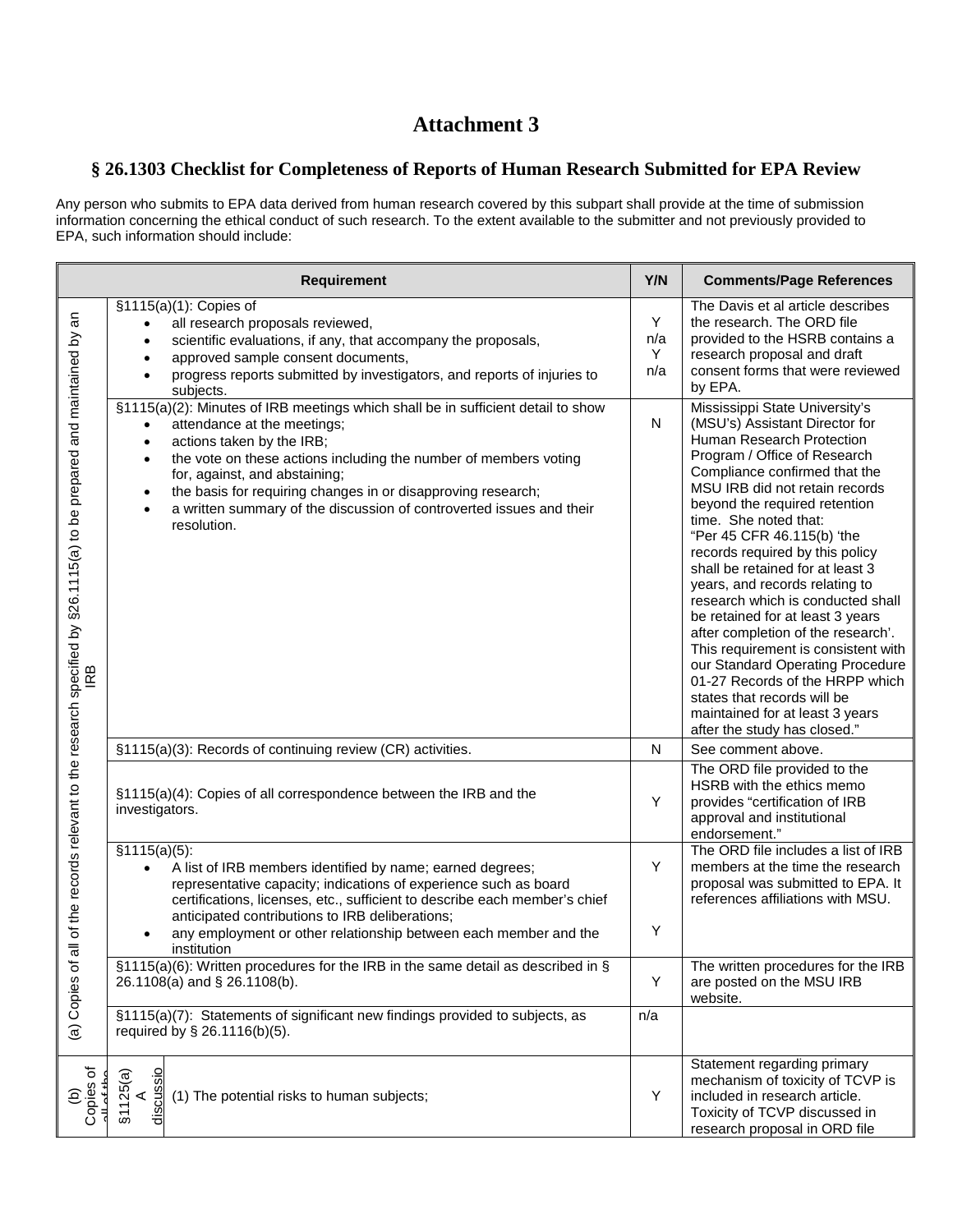# **Attachment 3**

#### **§ 26.1303 Checklist for Completeness of Reports of Human Research Submitted for EPA Review**

Any person who submits to EPA data derived from human research covered by this subpart shall provide at the time of submission information concerning the ethical conduct of such research. To the extent available to the submitter and not previously provided to EPA, such information should include:

| Requirement                                                                                                                                   |                                                                                                                                                                                                                                                                                                                                                                                                                                                                           |                      | <b>Comments/Page References</b>                                                                                                                                                                                                                                                                                                                                                                                                                                                                                                                                                                                                                                                                                                  |
|-----------------------------------------------------------------------------------------------------------------------------------------------|---------------------------------------------------------------------------------------------------------------------------------------------------------------------------------------------------------------------------------------------------------------------------------------------------------------------------------------------------------------------------------------------------------------------------------------------------------------------------|----------------------|----------------------------------------------------------------------------------------------------------------------------------------------------------------------------------------------------------------------------------------------------------------------------------------------------------------------------------------------------------------------------------------------------------------------------------------------------------------------------------------------------------------------------------------------------------------------------------------------------------------------------------------------------------------------------------------------------------------------------------|
| of the records relevant to the research specified by §26.1115(a) to be prepared and maintained by an<br>RB<br>$\overline{a}$<br>(a) Copies of | §1115(a)(1): Copies of<br>all research proposals reviewed,<br>scientific evaluations, if any, that accompany the proposals,<br>$\bullet$<br>approved sample consent documents,<br>$\bullet$<br>progress reports submitted by investigators, and reports of injuries to<br>subjects.                                                                                                                                                                                       | Υ<br>n/a<br>Υ<br>n/a | The Davis et al article describes<br>the research. The ORD file<br>provided to the HSRB contains a<br>research proposal and draft<br>consent forms that were reviewed<br>by EPA.                                                                                                                                                                                                                                                                                                                                                                                                                                                                                                                                                 |
|                                                                                                                                               | §1115(a)(2): Minutes of IRB meetings which shall be in sufficient detail to show<br>attendance at the meetings;<br>$\bullet$<br>actions taken by the IRB;<br>$\bullet$<br>the vote on these actions including the number of members voting<br>$\bullet$<br>for, against, and abstaining;<br>the basis for requiring changes in or disapproving research;<br>$\bullet$<br>a written summary of the discussion of controverted issues and their<br>$\bullet$<br>resolution. | $\mathsf{N}$         | Mississippi State University's<br>(MSU's) Assistant Director for<br>Human Research Protection<br>Program / Office of Research<br>Compliance confirmed that the<br>MSU IRB did not retain records<br>beyond the required retention<br>time. She noted that:<br>"Per 45 CFR 46.115(b) 'the<br>records required by this policy<br>shall be retained for at least 3<br>years, and records relating to<br>research which is conducted shall<br>be retained for at least 3 years<br>after completion of the research'.<br>This requirement is consistent with<br>our Standard Operating Procedure<br>01-27 Records of the HRPP which<br>states that records will be<br>maintained for at least 3 years<br>after the study has closed." |
|                                                                                                                                               | §1115(a)(3): Records of continuing review (CR) activities.                                                                                                                                                                                                                                                                                                                                                                                                                | N                    | See comment above.                                                                                                                                                                                                                                                                                                                                                                                                                                                                                                                                                                                                                                                                                                               |
|                                                                                                                                               | §1115(a)(4): Copies of all correspondence between the IRB and the<br>investigators.                                                                                                                                                                                                                                                                                                                                                                                       | Υ                    | The ORD file provided to the<br>HSRB with the ethics memo<br>provides "certification of IRB<br>approval and institutional<br>endorsement."                                                                                                                                                                                                                                                                                                                                                                                                                                                                                                                                                                                       |
|                                                                                                                                               | \$1115(a)(5):<br>A list of IRB members identified by name; earned degrees;<br>$\bullet$<br>representative capacity; indications of experience such as board<br>certifications, licenses, etc., sufficient to describe each member's chief<br>anticipated contributions to IRB deliberations;<br>any employment or other relationship between each member and the<br>institution                                                                                           | Y<br>Υ               | The ORD file includes a list of IRB<br>members at the time the research<br>proposal was submitted to EPA. It<br>references affiliations with MSU.                                                                                                                                                                                                                                                                                                                                                                                                                                                                                                                                                                                |
|                                                                                                                                               | §1115(a)(6): Written procedures for the IRB in the same detail as described in §<br>26.1108(a) and § 26.1108(b).                                                                                                                                                                                                                                                                                                                                                          | Υ                    | The written procedures for the IRB<br>are posted on the MSU IRB<br>website.                                                                                                                                                                                                                                                                                                                                                                                                                                                                                                                                                                                                                                                      |
|                                                                                                                                               | §1115(a)(7): Statements of significant new findings provided to subjects, as<br>required by § 26.1116(b)(5).                                                                                                                                                                                                                                                                                                                                                              | n/a                  |                                                                                                                                                                                                                                                                                                                                                                                                                                                                                                                                                                                                                                                                                                                                  |
| Copies of<br>ê                                                                                                                                | scussio<br>§1125(a)<br>(1) The potential risks to human subjects;                                                                                                                                                                                                                                                                                                                                                                                                         | Υ                    | Statement regarding primary<br>mechanism of toxicity of TCVP is<br>included in research article.<br>Toxicity of TCVP discussed in<br>research proposal in ORD file                                                                                                                                                                                                                                                                                                                                                                                                                                                                                                                                                               |